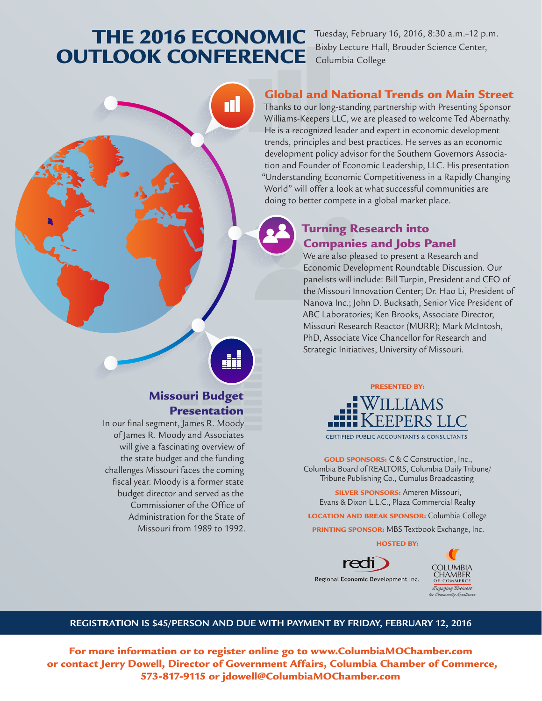## THE 2016 ECONOMIC Tuesday, February 16, 2016, 8:30 a.m.–12 p.m. OUTLOOK CONFERENCE

Bixby Lecture Hall, Brouder Science Center, Columbia College

### Global and National Trends on Main Street

Thanks to our long-standing partnership with Presenting Sponsor Williams-Keepers LLC, we are pleased to welcome Ted Abernathy. He is a recognized leader and expert in economic development trends, principles and best practices. He serves as an economic development policy advisor for the Southern Governors Association and Founder of Economic Leadership, LLC. His presentation "Understanding Economic Competitiveness in a Rapidly Changing World" will offer a look at what successful communities are doing to better compete in a global market place.

## Turning Research into Companies and Jobs Panel

We are also pleased to present a Research and Economic Development Roundtable Discussion. Our panelists will include: Bill Turpin, President and CEO of the Missouri Innovation Center; Dr. Hao Li, President of Nanova Inc.; John D. Bucksath, Senior Vice President of ABC Laboratories; Ken Brooks, Associate Director, Missouri Research Reactor (MURR); Mark McIntosh, PhD, Associate Vice Chancellor for Research and Strategic Initiatives, University of Missouri.



**CERTIFIED PUBLIC ACCOUNTANTS & CONSULTANTS** 

GOLD SPONSORS: C & C Construction, Inc., Columbia Board of REALTORS, Columbia Daily Tribune/ Tribune Publishing Co., Cumulus Broadcasting

SILVER SPONSORS: Ameren Missouri, Evans & Dixon L.L.C., Plaza Commercial Realt**y**

LOCATION AND BREAK SPONSOR: Columbia College

**PRINTING SPONSOR:** MBS Textbook Exchange, Inc.

HOSTED BY:



**OLUMBIA** CHAMBER Engaging Business for Community Excellence

#### **REGISTRATION IS \$45/PERSON AND DUE WITH PAYMENT BY FRIDAY, FEBRUARY 12, 2016**

For more information or to register online go to www.ColumbiaMOChamber.com or contact Jerry Dowell, Director of Government Affairs, Columbia Chamber of Commerce, 573-817-9115 or jdowell@ColumbiaMOChamber.com

## Missouri Budget Presentation

In our final segment, James R. Moody of James R. Moody and Associates will give a fascinating overview of the state budget and the funding challenges Missouri faces the coming fiscal year. Moody is a former state budget director and served as the Commissioner of the Office of Administration for the State of Missouri from 1989 to 1992.